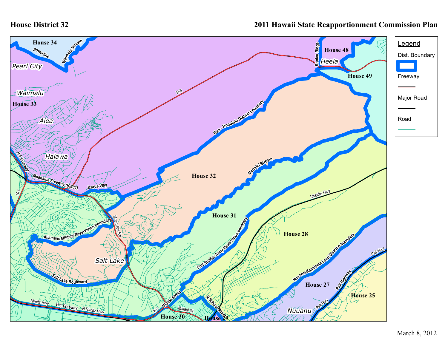## **House District 32**

## **2011 Hawaii State Reapportionment Commission Plan**